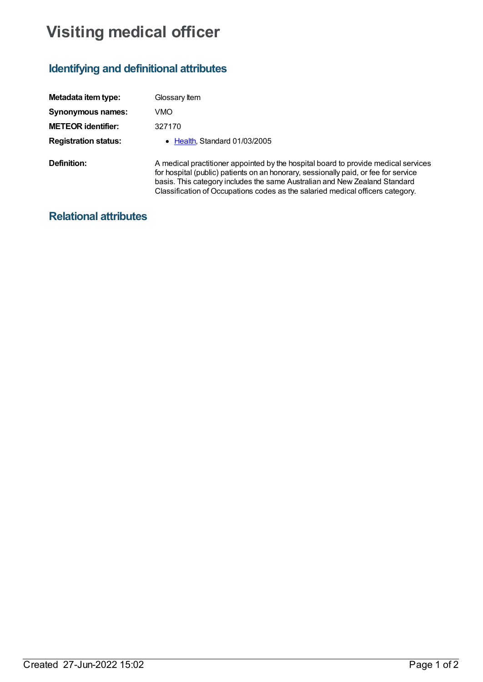## **Visiting medical officer**

## **Identifying and definitional attributes**

| Metadata item type:         | Glossary Item                                                                                                                                                                                                                                                                                                                             |
|-----------------------------|-------------------------------------------------------------------------------------------------------------------------------------------------------------------------------------------------------------------------------------------------------------------------------------------------------------------------------------------|
| <b>Synonymous names:</b>    | VMO                                                                                                                                                                                                                                                                                                                                       |
| <b>METEOR identifier:</b>   | 327170                                                                                                                                                                                                                                                                                                                                    |
| <b>Registration status:</b> | • Health, Standard 01/03/2005                                                                                                                                                                                                                                                                                                             |
| Definition:                 | A medical practitioner appointed by the hospital board to provide medical services<br>for hospital (public) patients on an honorary, sessionally paid, or fee for service<br>basis. This category includes the same Australian and New Zealand Standard<br>Classification of Occupations codes as the salaried medical officers category. |

## **Relational attributes**